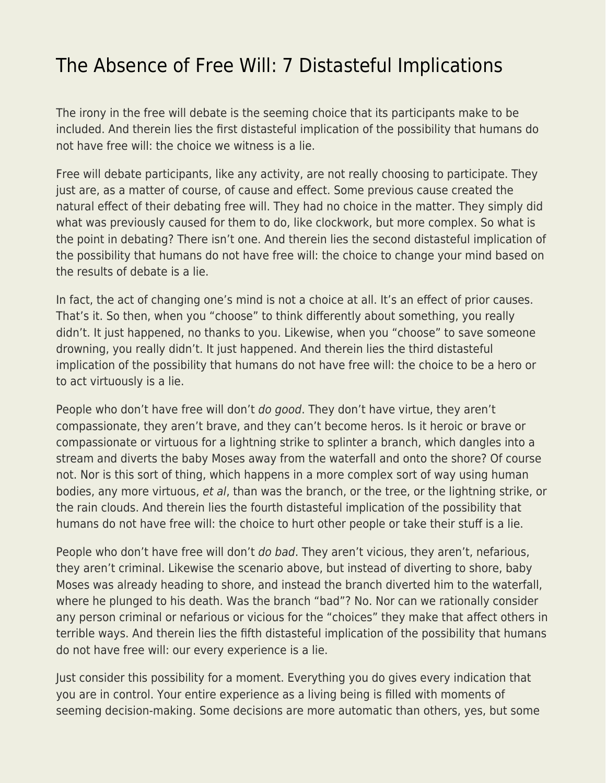## [The Absence of Free Will: 7 Distasteful Implications](https://everything-voluntary.com/absence-free-will-7-distasteful-implications)

The irony in the free will debate is the seeming choice that its participants make to be included. And therein lies the first distasteful implication of the possibility that humans do not have free will: the choice we witness is a lie.

Free will debate participants, like any activity, are not really choosing to participate. They just are, as a matter of course, of cause and effect. Some previous cause created the natural effect of their debating free will. They had no choice in the matter. They simply did what was previously caused for them to do, like clockwork, but more complex. So what is the point in debating? There isn't one. And therein lies the second distasteful implication of the possibility that humans do not have free will: the choice to change your mind based on the results of debate is a lie.

In fact, the act of changing one's mind is not a choice at all. It's an effect of prior causes. That's it. So then, when you "choose" to think differently about something, you really didn't. It just happened, no thanks to you. Likewise, when you "choose" to save someone drowning, you really didn't. It just happened. And therein lies the third distasteful implication of the possibility that humans do not have free will: the choice to be a hero or to act virtuously is a lie.

People who don't have free will don't do good. They don't have virtue, they aren't compassionate, they aren't brave, and they can't become heros. Is it heroic or brave or compassionate or virtuous for a lightning strike to splinter a branch, which dangles into a stream and diverts the baby Moses away from the waterfall and onto the shore? Of course not. Nor is this sort of thing, which happens in a more complex sort of way using human bodies, any more virtuous, et al, than was the branch, or the tree, or the lightning strike, or the rain clouds. And therein lies the fourth distasteful implication of the possibility that humans do not have free will: the choice to hurt other people or take their stuff is a lie.

People who don't have free will don't do bad. They aren't vicious, they aren't, nefarious, they aren't criminal. Likewise the scenario above, but instead of diverting to shore, baby Moses was already heading to shore, and instead the branch diverted him to the waterfall, where he plunged to his death. Was the branch "bad"? No. Nor can we rationally consider any person criminal or nefarious or vicious for the "choices" they make that affect others in terrible ways. And therein lies the fifth distasteful implication of the possibility that humans do not have free will: our every experience is a lie.

Just consider this possibility for a moment. Everything you do gives every indication that you are in control. Your entire experience as a living being is filled with moments of seeming decision-making. Some decisions are more automatic than others, yes, but some